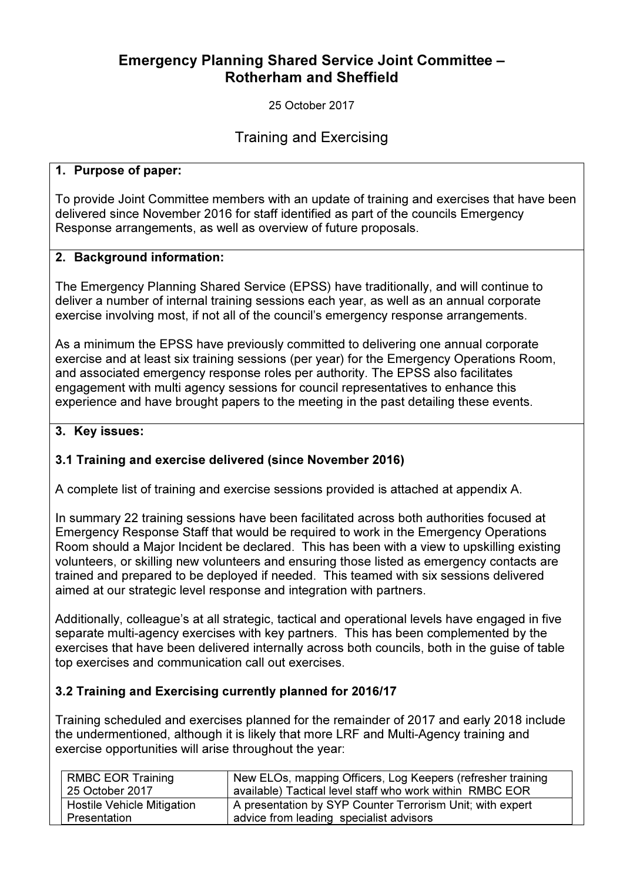# Emergency Planning Shared Service Joint Committee – Rotherham and Sheffield

25 October 2017

Training and Exercising

#### 1. Purpose of paper:

To provide Joint Committee members with an update of training and exercises that have been delivered since November 2016 for staff identified as part of the councils Emergency Response arrangements, as well as overview of future proposals.

#### 2. Background information:

The Emergency Planning Shared Service (EPSS) have traditionally, and will continue to deliver a number of internal training sessions each year, as well as an annual corporate exercise involving most, if not all of the council's emergency response arrangements.

As a minimum the EPSS have previously committed to delivering one annual corporate exercise and at least six training sessions (per year) for the Emergency Operations Room, and associated emergency response roles per authority. The EPSS also facilitates engagement with multi agency sessions for council representatives to enhance this experience and have brought papers to the meeting in the past detailing these events.

#### 3. Key issues:

## 3.1 Training and exercise delivered (since November 2016)

A complete list of training and exercise sessions provided is attached at appendix A.

In summary 22 training sessions have been facilitated across both authorities focused at Emergency Response Staff that would be required to work in the Emergency Operations Room should a Major Incident be declared. This has been with a view to upskilling existing volunteers, or skilling new volunteers and ensuring those listed as emergency contacts are trained and prepared to be deployed if needed. This teamed with six sessions delivered aimed at our strategic level response and integration with partners.

Additionally, colleague's at all strategic, tactical and operational levels have engaged in five separate multi-agency exercises with key partners. This has been complemented by the exercises that have been delivered internally across both councils, both in the guise of table top exercises and communication call out exercises.

## 3.2 Training and Exercising currently planned for 2016/17

Training scheduled and exercises planned for the remainder of 2017 and early 2018 include the undermentioned, although it is likely that more LRF and Multi-Agency training and exercise opportunities will arise throughout the year:

| <b>RMBC EOR Training</b>          | New ELOs, mapping Officers, Log Keepers (refresher training |
|-----------------------------------|-------------------------------------------------------------|
| 25 October 2017                   | available) Tactical level staff who work within RMBC EOR    |
| <b>Hostile Vehicle Mitigation</b> | A presentation by SYP Counter Terrorism Unit; with expert   |
| Presentation                      | advice from leading specialist advisors                     |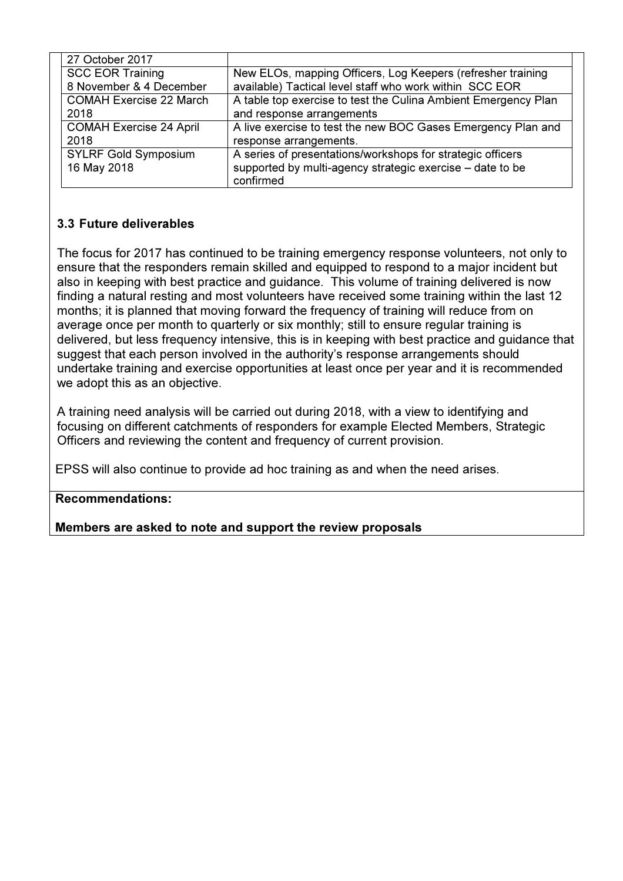| 27 October 2017                |                                                                |
|--------------------------------|----------------------------------------------------------------|
| <b>SCC EOR Training</b>        | New ELOs, mapping Officers, Log Keepers (refresher training    |
| 8 November & 4 December        | available) Tactical level staff who work within SCC EOR        |
| <b>COMAH Exercise 22 March</b> | A table top exercise to test the Culina Ambient Emergency Plan |
| 2018                           | and response arrangements                                      |
| <b>COMAH Exercise 24 April</b> | A live exercise to test the new BOC Gases Emergency Plan and   |
| 2018                           | response arrangements.                                         |
| <b>SYLRF Gold Symposium</b>    | A series of presentations/workshops for strategic officers     |
| 16 May 2018                    | supported by multi-agency strategic exercise – date to be      |
|                                | confirmed                                                      |

## 3.3 Future deliverables

The focus for 2017 has continued to be training emergency response volunteers, not only to ensure that the responders remain skilled and equipped to respond to a major incident but also in keeping with best practice and guidance. This volume of training delivered is now finding a natural resting and most volunteers have received some training within the last 12 months; it is planned that moving forward the frequency of training will reduce from on average once per month to quarterly or six monthly; still to ensure regular training is delivered, but less frequency intensive, this is in keeping with best practice and guidance that suggest that each person involved in the authority's response arrangements should undertake training and exercise opportunities at least once per year and it is recommended we adopt this as an objective.

A training need analysis will be carried out during 2018, with a view to identifying and focusing on different catchments of responders for example Elected Members, Strategic Officers and reviewing the content and frequency of current provision.

EPSS will also continue to provide ad hoc training as and when the need arises.

## Recommendations:

Members are asked to note and support the review proposals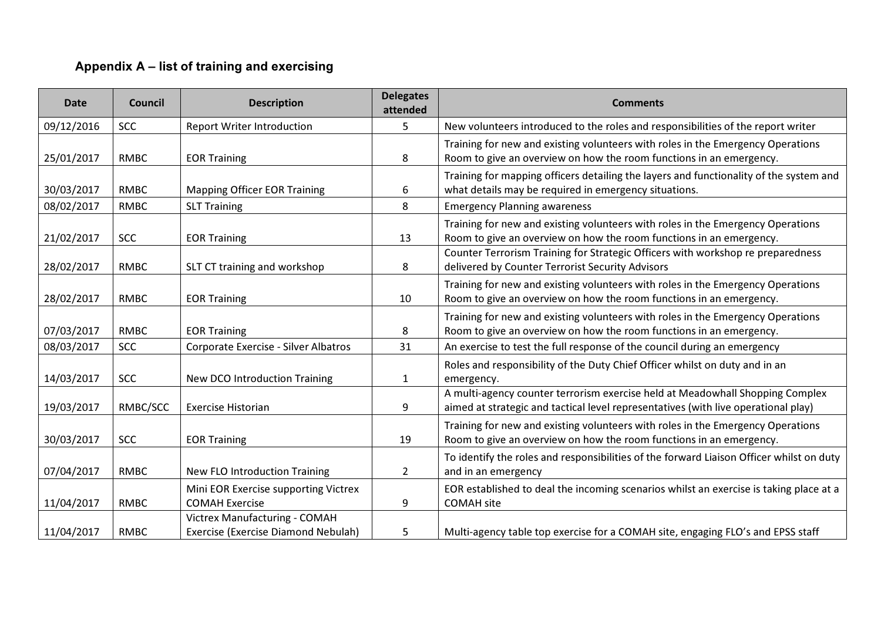## Appendix A – list of training and exercising

| <b>Date</b> | <b>Council</b> | <b>Description</b>                                                   | <b>Delegates</b><br>attended | <b>Comments</b>                                                                                                                                                                                                                           |
|-------------|----------------|----------------------------------------------------------------------|------------------------------|-------------------------------------------------------------------------------------------------------------------------------------------------------------------------------------------------------------------------------------------|
| 09/12/2016  | <b>SCC</b>     | <b>Report Writer Introduction</b>                                    | 5                            | New volunteers introduced to the roles and responsibilities of the report writer                                                                                                                                                          |
| 25/01/2017  | <b>RMBC</b>    | <b>EOR Training</b>                                                  | 8                            | Training for new and existing volunteers with roles in the Emergency Operations<br>Room to give an overview on how the room functions in an emergency.                                                                                    |
| 30/03/2017  | <b>RMBC</b>    | <b>Mapping Officer EOR Training</b>                                  | 6                            | Training for mapping officers detailing the layers and functionality of the system and<br>what details may be required in emergency situations.                                                                                           |
| 08/02/2017  | <b>RMBC</b>    | <b>SLT Training</b>                                                  | 8                            | <b>Emergency Planning awareness</b>                                                                                                                                                                                                       |
| 21/02/2017  | <b>SCC</b>     | <b>EOR Training</b>                                                  | 13                           | Training for new and existing volunteers with roles in the Emergency Operations<br>Room to give an overview on how the room functions in an emergency.<br>Counter Terrorism Training for Strategic Officers with workshop re preparedness |
| 28/02/2017  | <b>RMBC</b>    | SLT CT training and workshop                                         | 8                            | delivered by Counter Terrorist Security Advisors                                                                                                                                                                                          |
| 28/02/2017  | <b>RMBC</b>    | <b>EOR Training</b>                                                  | 10                           | Training for new and existing volunteers with roles in the Emergency Operations<br>Room to give an overview on how the room functions in an emergency.                                                                                    |
| 07/03/2017  | <b>RMBC</b>    | <b>EOR Training</b>                                                  | 8                            | Training for new and existing volunteers with roles in the Emergency Operations<br>Room to give an overview on how the room functions in an emergency.                                                                                    |
| 08/03/2017  | <b>SCC</b>     | Corporate Exercise - Silver Albatros                                 | 31                           | An exercise to test the full response of the council during an emergency                                                                                                                                                                  |
| 14/03/2017  | <b>SCC</b>     | <b>New DCO Introduction Training</b>                                 | $\mathbf{1}$                 | Roles and responsibility of the Duty Chief Officer whilst on duty and in an<br>emergency.                                                                                                                                                 |
| 19/03/2017  | RMBC/SCC       | <b>Exercise Historian</b>                                            | 9                            | A multi-agency counter terrorism exercise held at Meadowhall Shopping Complex<br>aimed at strategic and tactical level representatives (with live operational play)                                                                       |
| 30/03/2017  | <b>SCC</b>     | <b>EOR Training</b>                                                  | 19                           | Training for new and existing volunteers with roles in the Emergency Operations<br>Room to give an overview on how the room functions in an emergency.                                                                                    |
| 07/04/2017  | <b>RMBC</b>    | <b>New FLO Introduction Training</b>                                 | $\overline{2}$               | To identify the roles and responsibilities of the forward Liaison Officer whilst on duty<br>and in an emergency                                                                                                                           |
| 11/04/2017  | <b>RMBC</b>    | Mini EOR Exercise supporting Victrex<br><b>COMAH Exercise</b>        | 9                            | EOR established to deal the incoming scenarios whilst an exercise is taking place at a<br><b>COMAH</b> site                                                                                                                               |
| 11/04/2017  | <b>RMBC</b>    | Victrex Manufacturing - COMAH<br>Exercise (Exercise Diamond Nebulah) | 5                            | Multi-agency table top exercise for a COMAH site, engaging FLO's and EPSS staff                                                                                                                                                           |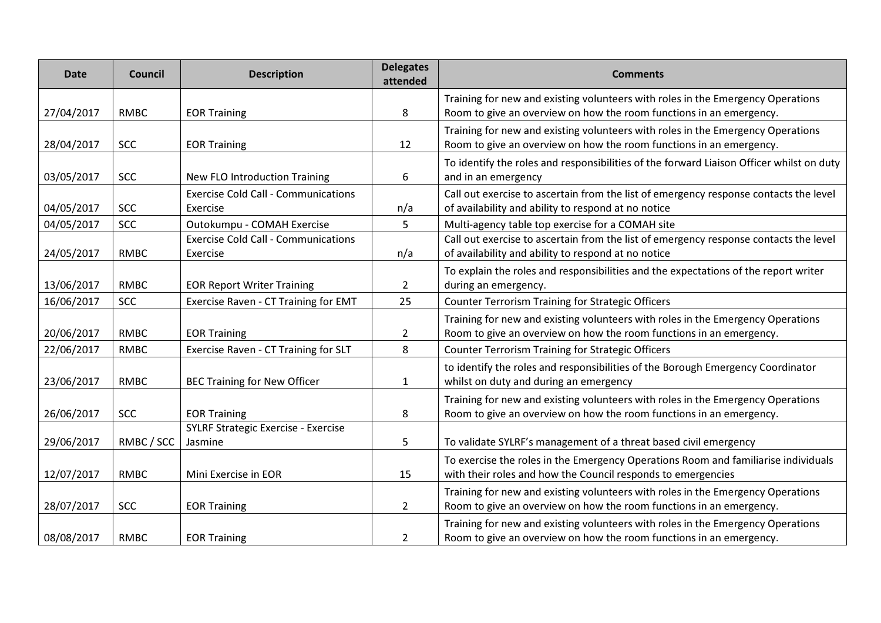| <b>Date</b> | Council     | <b>Description</b>                                     | <b>Delegates</b><br>attended | <b>Comments</b>                                                                                                                                        |
|-------------|-------------|--------------------------------------------------------|------------------------------|--------------------------------------------------------------------------------------------------------------------------------------------------------|
| 27/04/2017  | <b>RMBC</b> | <b>EOR Training</b>                                    | 8                            | Training for new and existing volunteers with roles in the Emergency Operations<br>Room to give an overview on how the room functions in an emergency. |
| 28/04/2017  | <b>SCC</b>  | <b>EOR Training</b>                                    | 12                           | Training for new and existing volunteers with roles in the Emergency Operations<br>Room to give an overview on how the room functions in an emergency. |
| 03/05/2017  | <b>SCC</b>  | <b>New FLO Introduction Training</b>                   | 6                            | To identify the roles and responsibilities of the forward Liaison Officer whilst on duty<br>and in an emergency                                        |
| 04/05/2017  | <b>SCC</b>  | <b>Exercise Cold Call - Communications</b><br>Exercise | n/a                          | Call out exercise to ascertain from the list of emergency response contacts the level<br>of availability and ability to respond at no notice           |
| 04/05/2017  | <b>SCC</b>  | Outokumpu - COMAH Exercise                             | 5                            | Multi-agency table top exercise for a COMAH site                                                                                                       |
| 24/05/2017  | <b>RMBC</b> | <b>Exercise Cold Call - Communications</b><br>Exercise | n/a                          | Call out exercise to ascertain from the list of emergency response contacts the level<br>of availability and ability to respond at no notice           |
| 13/06/2017  | RMBC        | <b>EOR Report Writer Training</b>                      | $\overline{2}$               | To explain the roles and responsibilities and the expectations of the report writer<br>during an emergency.                                            |
| 16/06/2017  | <b>SCC</b>  | Exercise Raven - CT Training for EMT                   | 25                           | <b>Counter Terrorism Training for Strategic Officers</b>                                                                                               |
| 20/06/2017  | <b>RMBC</b> | <b>EOR Training</b>                                    | $\overline{2}$               | Training for new and existing volunteers with roles in the Emergency Operations<br>Room to give an overview on how the room functions in an emergency. |
| 22/06/2017  | <b>RMBC</b> | <b>Exercise Raven - CT Training for SLT</b>            | 8                            | <b>Counter Terrorism Training for Strategic Officers</b>                                                                                               |
| 23/06/2017  | <b>RMBC</b> | <b>BEC Training for New Officer</b>                    | $\mathbf{1}$                 | to identify the roles and responsibilities of the Borough Emergency Coordinator<br>whilst on duty and during an emergency                              |
| 26/06/2017  | <b>SCC</b>  | <b>EOR Training</b>                                    | 8                            | Training for new and existing volunteers with roles in the Emergency Operations<br>Room to give an overview on how the room functions in an emergency. |
| 29/06/2017  | RMBC / SCC  | <b>SYLRF Strategic Exercise - Exercise</b><br>Jasmine  | 5                            | To validate SYLRF's management of a threat based civil emergency                                                                                       |
| 12/07/2017  | <b>RMBC</b> | Mini Exercise in EOR                                   | 15                           | To exercise the roles in the Emergency Operations Room and familiarise individuals<br>with their roles and how the Council responds to emergencies     |
| 28/07/2017  | <b>SCC</b>  | <b>EOR Training</b>                                    | $\overline{2}$               | Training for new and existing volunteers with roles in the Emergency Operations<br>Room to give an overview on how the room functions in an emergency. |
| 08/08/2017  | <b>RMBC</b> | <b>EOR Training</b>                                    | $\overline{2}$               | Training for new and existing volunteers with roles in the Emergency Operations<br>Room to give an overview on how the room functions in an emergency. |